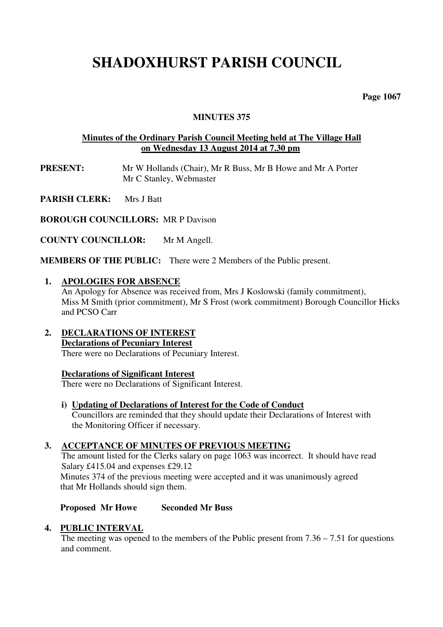## **SHADOXHURST PARISH COUNCIL**

 **Page 1067** 

#### **MINUTES 375**

#### **Minutes of the Ordinary Parish Council Meeting held at The Village Hall on Wednesday 13 August 2014 at 7.30 pm**

**PRESENT:** Mr W Hollands (Chair), Mr R Buss, Mr B Howe and Mr A Porter Mr C Stanley, Webmaster

**PARISH CLERK:** Mrs J Batt

**BOROUGH COUNCILLORS:** MR P Davison

**COUNTY COUNCILLOR:** Mr M Angell.

**MEMBERS OF THE PUBLIC:** There were 2 Members of the Public present.

#### **1. APOLOGIES FOR ABSENCE**

An Apology for Absence was received from, Mrs J Koslowski (family commitment), Miss M Smith (prior commitment), Mr S Frost (work commitment) Borough Councillor Hicks and PCSO Carr

**2. DECLARATIONS OF INTEREST Declarations of Pecuniary Interest** 

There were no Declarations of Pecuniary Interest.

#### **Declarations of Significant Interest**

There were no Declarations of Significant Interest.

**i) Updating of Declarations of Interest for the Code of Conduct** Councillors are reminded that they should update their Declarations of Interest with the Monitoring Officer if necessary.

#### **3. ACCEPTANCE OF MINUTES OF PREVIOUS MEETING**

The amount listed for the Clerks salary on page 1063 was incorrect. It should have read Salary £415.04 and expenses £29.12 Minutes 374 of the previous meeting were accepted and it was unanimously agreed that Mr Hollands should sign them.

#### **Proposed Mr Howe Seconded Mr Buss**

#### **4. PUBLIC INTERVAL**

The meeting was opened to the members of the Public present from  $7.36 - 7.51$  for questions and comment.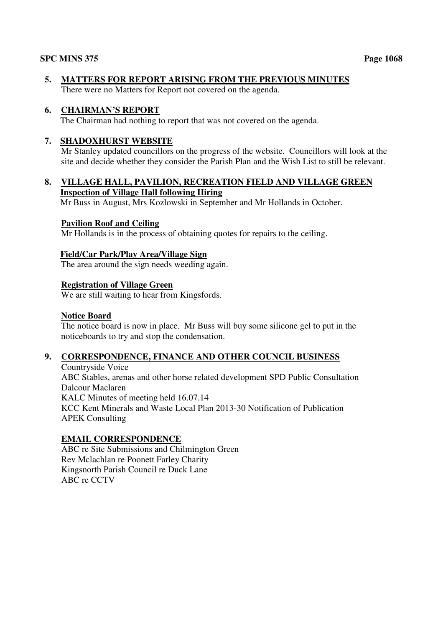**5. MATTERS FOR REPORT ARISING FROM THE PREVIOUS MINUTES**  There were no Matters for Report not covered on the agenda.

#### **6. CHAIRMAN'S REPORT**

The Chairman had nothing to report that was not covered on the agenda.

#### **7. SHADOXHURST WEBSITE**

 Mr Stanley updated councillors on the progress of the website. Councillors will look at the site and decide whether they consider the Parish Plan and the Wish List to still be relevant.

#### **8. VILLAGE HALL, PAVILION, RECREATION FIELD AND VILLAGE GREEN Inspection of Village Hall following Hiring**

Mr Buss in August, Mrs Kozlowski in September and Mr Hollands in October.

#### **Pavilion Roof and Ceiling**

Mr Hollands is in the process of obtaining quotes for repairs to the ceiling.

#### **Field/Car Park/Play Area/Village Sign**

The area around the sign needs weeding again.

#### **Registration of Village Green**

We are still waiting to hear from Kingsfords.

#### **Notice Board**

 The notice board is now in place. Mr Buss will buy some silicone gel to put in the noticeboards to try and stop the condensation.

#### **9. CORRESPONDENCE, FINANCE AND OTHER COUNCIL BUSINESS**

Countryside Voice ABC Stables, arenas and other horse related development SPD Public Consultation Dalcour Maclaren KALC Minutes of meeting held 16.07.14 KCC Kent Minerals and Waste Local Plan 2013-30 Notification of Publication APEK Consulting

#### **EMAIL CORRESPONDENCE**

 ABC re Site Submissions and Chilmington Green Rev Mclachlan re Poonett Farley Charity Kingsnorth Parish Council re Duck Lane ABC re CCTV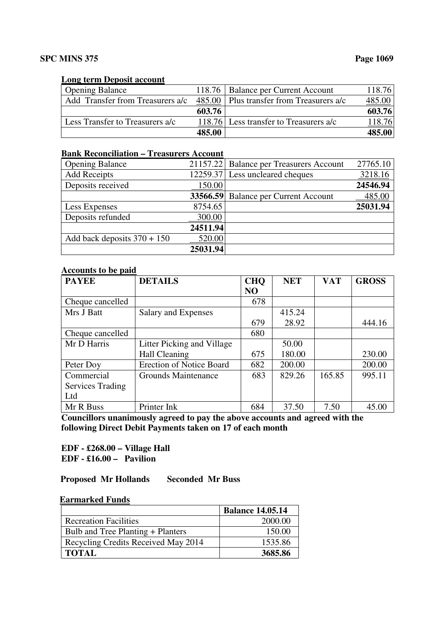#### **Long term Deposit account**

| <b>Opening Balance</b>           |        | 118.76   Balance per Current Account         | 118.76 |
|----------------------------------|--------|----------------------------------------------|--------|
| Add Transfer from Treasurers a/c |        | $485.00$   Plus transfer from Treasurers a/c | 485.00 |
|                                  | 603.76 |                                              | 603.76 |
| Less Transfer to Treasurers a/c  |        | 118.76 Less transfer to Treasurers a/c       |        |
|                                  | 485.00 |                                              |        |

### **Bank Reconciliation – Treasurers Account**

| <b>Opening Balance</b>        |          | 21157.22 Balance per Treasurers Account | 27765.10 |
|-------------------------------|----------|-----------------------------------------|----------|
| <b>Add Receipts</b>           |          | 12259.37 Less uncleared cheques         | 3218.16  |
| Deposits received             | 150.00   |                                         | 24546.94 |
|                               |          | 33566.59 Balance per Current Account    | 485.00   |
| Less Expenses                 | 8754.65  |                                         | 25031.94 |
| Deposits refunded             | 300.00   |                                         |          |
|                               | 24511.94 |                                         |          |
| Add back deposits $370 + 150$ | 520.00   |                                         |          |
|                               | 25031.94 |                                         |          |

#### **Accounts to be paid**

| <b>PAYEE</b>            | <b>DETAILS</b>                  | <b>CHQ</b>     | <b>NET</b> | <b>VAT</b> | <b>GROSS</b> |
|-------------------------|---------------------------------|----------------|------------|------------|--------------|
|                         |                                 | N <sub>O</sub> |            |            |              |
| Cheque cancelled        |                                 | 678            |            |            |              |
| Mrs J Batt              | Salary and Expenses             |                | 415.24     |            |              |
|                         |                                 | 679            | 28.92      |            | 444.16       |
| Cheque cancelled        |                                 | 680            |            |            |              |
| Mr D Harris             | Litter Picking and Village      |                | 50.00      |            |              |
|                         | Hall Cleaning                   | 675            | 180.00     |            | 230.00       |
| Peter Doy               | <b>Erection of Notice Board</b> | 682            | 200.00     |            | 200.00       |
| Commercial              | Grounds Maintenance             | 683            | 829.26     | 165.85     | 995.11       |
| <b>Services Trading</b> |                                 |                |            |            |              |
| Ltd                     |                                 |                |            |            |              |
| Mr R Buss               | Printer Ink                     | 684            | 37.50      | 7.50       | 45.00        |

**Councillors unanimously agreed to pay the above accounts and agreed with the following Direct Debit Payments taken on 17 of each month** 

 **EDF - £268.00 – Village Hall EDF - £16.00 – Pavilion** 

 **Proposed Mr Hollands Seconded Mr Buss** 

#### **Earmarked Funds**

|                                     | <b>Balance 14.05.14</b> |
|-------------------------------------|-------------------------|
| <b>Recreation Facilities</b>        | 2000.00                 |
| Bulb and Tree Planting + Planters   | 150.00                  |
| Recycling Credits Received May 2014 | 1535.86                 |
| <b>TOTAL</b>                        | 3685.86                 |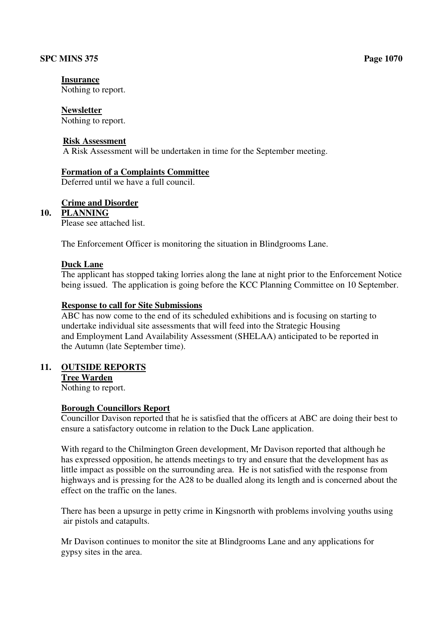#### **Insurance**

Nothing to report.

#### **Newsletter**

Nothing to report.

#### **Risk Assessment**

A Risk Assessment will be undertaken in time for the September meeting.

#### **Formation of a Complaints Committee**

Deferred until we have a full council.

#### **Crime and Disorder**

#### **10. PLANNING**

Please see attached list.

The Enforcement Officer is monitoring the situation in Blindgrooms Lane.

#### **Duck Lane**

The applicant has stopped taking lorries along the lane at night prior to the Enforcement Notice being issued. The application is going before the KCC Planning Committee on 10 September.

#### **Response to call for Site Submissions**

ABC has now come to the end of its scheduled exhibitions and is focusing on starting to undertake individual site assessments that will feed into the Strategic Housing and Employment Land Availability Assessment (SHELAA) anticipated to be reported in the Autumn (late September time).

#### **11. OUTSIDE REPORTS**

**Tree Warden**  Nothing to report.

#### **Borough Councillors Report**

 Councillor Davison reported that he is satisfied that the officers at ABC are doing their best to ensure a satisfactory outcome in relation to the Duck Lane application.

 With regard to the Chilmington Green development, Mr Davison reported that although he has expressed opposition, he attends meetings to try and ensure that the development has as little impact as possible on the surrounding area. He is not satisfied with the response from highways and is pressing for the A28 to be dualled along its length and is concerned about the effect on the traffic on the lanes.

 There has been a upsurge in petty crime in Kingsnorth with problems involving youths using air pistols and catapults.

 Mr Davison continues to monitor the site at Blindgrooms Lane and any applications for gypsy sites in the area.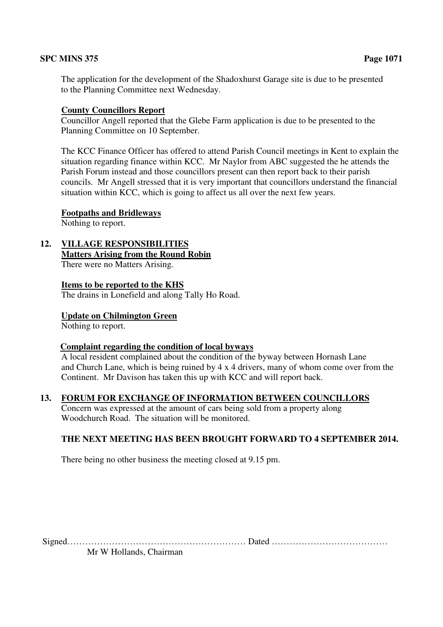The application for the development of the Shadoxhurst Garage site is due to be presented to the Planning Committee next Wednesday.

#### **County Councillors Report**

 Councillor Angell reported that the Glebe Farm application is due to be presented to the Planning Committee on 10 September.

 The KCC Finance Officer has offered to attend Parish Council meetings in Kent to explain the situation regarding finance within KCC. Mr Naylor from ABC suggested the he attends the Parish Forum instead and those councillors present can then report back to their parish councils. Mr Angell stressed that it is very important that councillors understand the financial situation within KCC, which is going to affect us all over the next few years.

#### **Footpaths and Bridleways**

Nothing to report.

**12. VILLAGE RESPONSIBILITIES Matters Arising from the Round Robin** 

There were no Matters Arising.

**Items to be reported to the KHS**

The drains in Lonefield and along Tally Ho Road.

**Update on Chilmington Green** 

Nothing to report.

#### **Complaint regarding the condition of local byways**

 A local resident complained about the condition of the byway between Hornash Lane and Church Lane, which is being ruined by 4 x 4 drivers, many of whom come over from the Continent. Mr Davison has taken this up with KCC and will report back.

#### **13. FORUM FOR EXCHANGE OF INFORMATION BETWEEN COUNCILLORS**

 Concern was expressed at the amount of cars being sold from a property along Woodchurch Road. The situation will be monitored.

#### **THE NEXT MEETING HAS BEEN BROUGHT FORWARD TO 4 SEPTEMBER 2014.**

There being no other business the meeting closed at 9.15 pm.

Signed…………………………………………………… Dated …………………………………

Mr W Hollands, Chairman